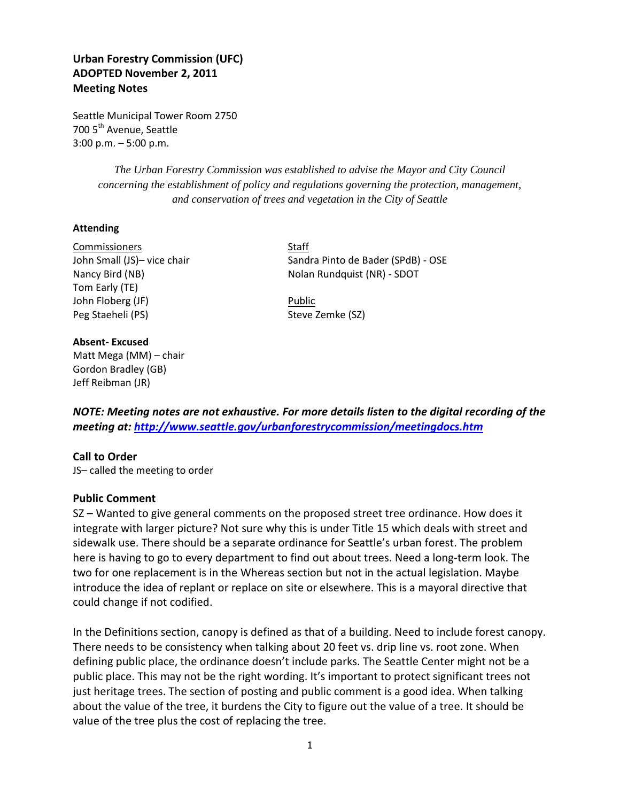# **Urban Forestry Commission (UFC) ADOPTED November 2, 2011 Meeting Notes**

Seattle Municipal Tower Room 2750 700 5<sup>th</sup> Avenue, Seattle 3:00 p.m. – 5:00 p.m.

> *The Urban Forestry Commission was established to advise the Mayor and City Council concerning the establishment of policy and regulations governing the protection, management, and conservation of trees and vegetation in the City of Seattle*

## **Attending**

Commissioners Staff Tom Early (TE) John Floberg (JF) **Public** Peg Staeheli (PS) Steve Zemke (SZ)

### **Absent- Excused**

Matt Mega (MM) – chair Gordon Bradley (GB) Jeff Reibman (JR)

John Small (JS)- vice chair Sandra Pinto de Bader (SPdB) - OSE Nancy Bird (NB) Nolan Rundquist (NR) - SDOT

*NOTE: Meeting notes are not exhaustive. For more details listen to the digital recording of the meeting at:<http://www.seattle.gov/urbanforestrycommission/meetingdocs.htm>*

## **Call to Order**

JS– called the meeting to order

## **Public Comment**

SZ – Wanted to give general comments on the proposed street tree ordinance. How does it integrate with larger picture? Not sure why this is under Title 15 which deals with street and sidewalk use. There should be a separate ordinance for Seattle's urban forest. The problem here is having to go to every department to find out about trees. Need a long-term look. The two for one replacement is in the Whereas section but not in the actual legislation. Maybe introduce the idea of replant or replace on site or elsewhere. This is a mayoral directive that could change if not codified.

In the Definitions section, canopy is defined as that of a building. Need to include forest canopy. There needs to be consistency when talking about 20 feet vs. drip line vs. root zone. When defining public place, the ordinance doesn't include parks. The Seattle Center might not be a public place. This may not be the right wording. It's important to protect significant trees not just heritage trees. The section of posting and public comment is a good idea. When talking about the value of the tree, it burdens the City to figure out the value of a tree. It should be value of the tree plus the cost of replacing the tree.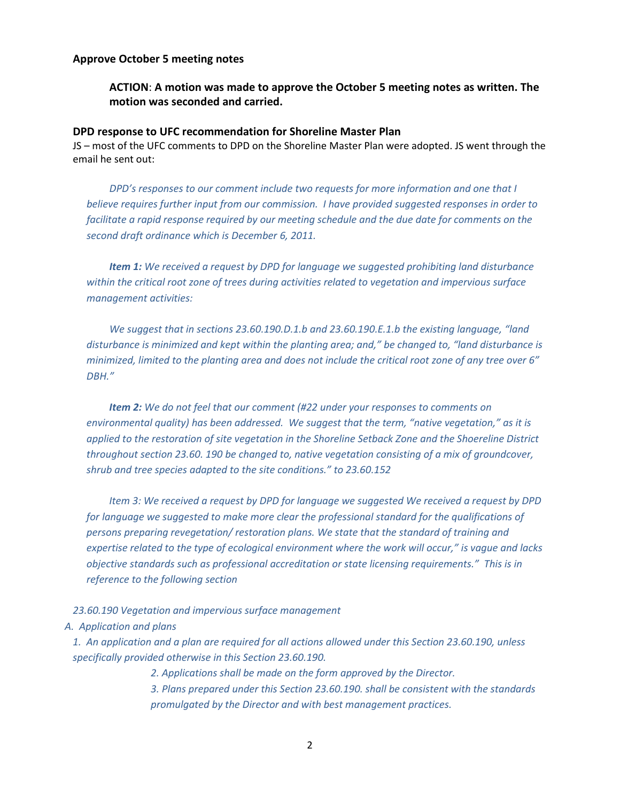#### **Approve October 5 meeting notes**

**ACTION**: **A motion was made to approve the October 5 meeting notes as written. The motion was seconded and carried.**

#### **DPD response to UFC recommendation for Shoreline Master Plan**

JS – most of the UFC comments to DPD on the Shoreline Master Plan were adopted. JS went through the email he sent out:

*DPD's responses to our comment include two requests for more information and one that I believe requires further input from our commission. I have provided suggested responses in order to facilitate a rapid response required by our meeting schedule and the due date for comments on the second draft ordinance which is December 6, 2011.*

*Item 1: We received a request by DPD for language we suggested prohibiting land disturbance within the critical root zone of trees during activities related to vegetation and impervious surface management activities:*

*We suggest that in sections 23.60.190.D.1.b and 23.60.190.E.1.b the existing language, "land disturbance is minimized and kept within the planting area; and," be changed to, "land disturbance is minimized, limited to the planting area and does not include the critical root zone of any tree over 6" DBH."*

*Item 2: We do not feel that our comment (#22 under your responses to comments on environmental quality) has been addressed. We suggest that the term, "native vegetation," as it is applied to the restoration of site vegetation in the Shoreline Setback Zone and the Shoereline District throughout section 23.60. 190 be changed to, native vegetation consisting of a mix of groundcover, shrub and tree species adapted to the site conditions." to 23.60.152*

*Item 3: We received a request by DPD for language we suggested We received a request by DPD for language we suggested to make more clear the professional standard for the qualifications of persons preparing revegetation/ restoration plans. We state that the standard of training and expertise related to the type of ecological environment where the work will occur," is vague and lacks objective standards such as professional accreditation or state licensing requirements." This is in reference to the following section* 

#### *23.60.190 Vegetation and impervious surface management*

#### *A. Application and plans*

*1. An application and a plan are required for all actions allowed under this Section 23.60.190, unless specifically provided otherwise in this Section 23.60.190.*

*2. Applications shall be made on the form approved by the Director.*

*3. Plans prepared under this Section 23.60.190. shall be consistent with the standards promulgated by the Director and with best management practices.*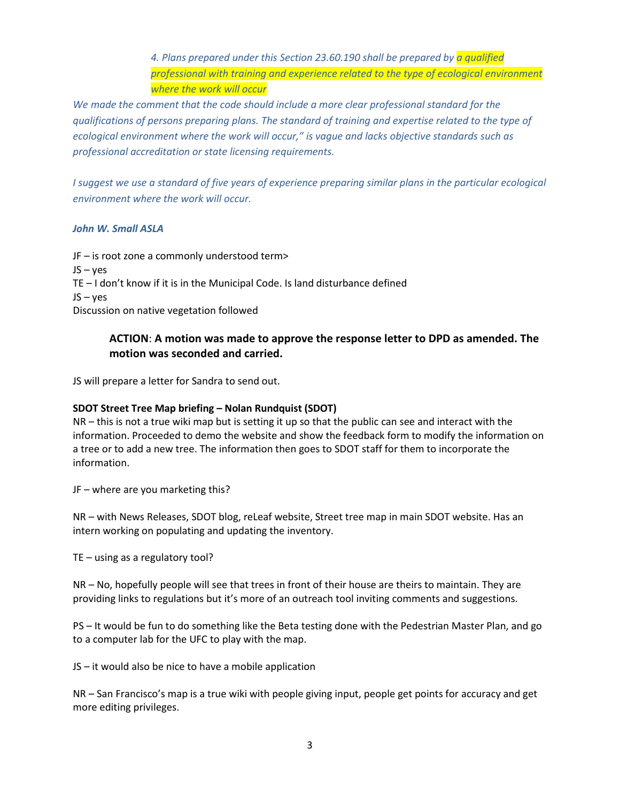*4. Plans prepared under this Section 23.60.190 shall be prepared by a qualified professional with training and experience related to the type of ecological environment where the work will occur*

*We made the comment that the code should include a more clear professional standard for the qualifications of persons preparing plans. The standard of training and expertise related to the type of ecological environment where the work will occur," is vague and lacks objective standards such as professional accreditation or state licensing requirements.*

*I* suggest we use a standard of five years of experience preparing similar plans in the particular ecological *environment where the work will occur.*

## *John W. Small ASLA*

JF – is root zone a commonly understood term> JS – yes TE – I don't know if it is in the Municipal Code. Is land disturbance defined JS – yes Discussion on native vegetation followed

## **ACTION**: **A motion was made to approve the response letter to DPD as amended. The motion was seconded and carried.**

JS will prepare a letter for Sandra to send out.

## **SDOT Street Tree Map briefing – Nolan Rundquist (SDOT)**

NR – this is not a true wiki map but is setting it up so that the public can see and interact with the information. Proceeded to demo the website and show the feedback form to modify the information on a tree or to add a new tree. The information then goes to SDOT staff for them to incorporate the information.

JF – where are you marketing this?

NR – with News Releases, SDOT blog, reLeaf website, Street tree map in main SDOT website. Has an intern working on populating and updating the inventory.

TE – using as a regulatory tool?

NR – No, hopefully people will see that trees in front of their house are theirs to maintain. They are providing links to regulations but it's more of an outreach tool inviting comments and suggestions.

PS – It would be fun to do something like the Beta testing done with the Pedestrian Master Plan, and go to a computer lab for the UFC to play with the map.

JS – it would also be nice to have a mobile application

NR – San Francisco's map is a true wiki with people giving input, people get points for accuracy and get more editing privileges.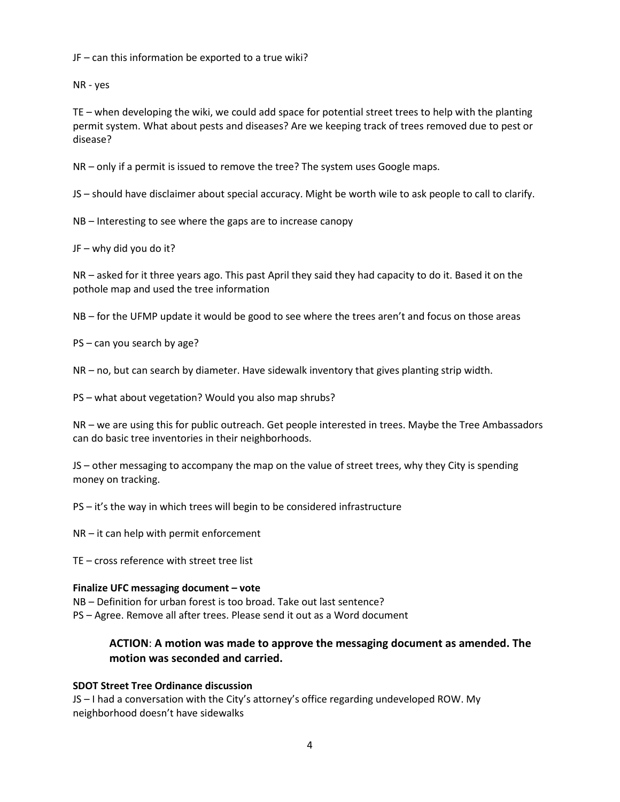JF – can this information be exported to a true wiki?

NR - yes

TE – when developing the wiki, we could add space for potential street trees to help with the planting permit system. What about pests and diseases? Are we keeping track of trees removed due to pest or disease?

NR – only if a permit is issued to remove the tree? The system uses Google maps.

JS – should have disclaimer about special accuracy. Might be worth wile to ask people to call to clarify.

NB – Interesting to see where the gaps are to increase canopy

JF – why did you do it?

NR – asked for it three years ago. This past April they said they had capacity to do it. Based it on the pothole map and used the tree information

NB – for the UFMP update it would be good to see where the trees aren't and focus on those areas

PS – can you search by age?

NR – no, but can search by diameter. Have sidewalk inventory that gives planting strip width.

PS – what about vegetation? Would you also map shrubs?

NR – we are using this for public outreach. Get people interested in trees. Maybe the Tree Ambassadors can do basic tree inventories in their neighborhoods.

JS – other messaging to accompany the map on the value of street trees, why they City is spending money on tracking.

PS – it's the way in which trees will begin to be considered infrastructure

NR – it can help with permit enforcement

TE – cross reference with street tree list

## **Finalize UFC messaging document – vote**

NB – Definition for urban forest is too broad. Take out last sentence? PS – Agree. Remove all after trees. Please send it out as a Word document

# **ACTION**: **A motion was made to approve the messaging document as amended. The motion was seconded and carried.**

## **SDOT Street Tree Ordinance discussion**

JS – I had a conversation with the City's attorney's office regarding undeveloped ROW. My neighborhood doesn't have sidewalks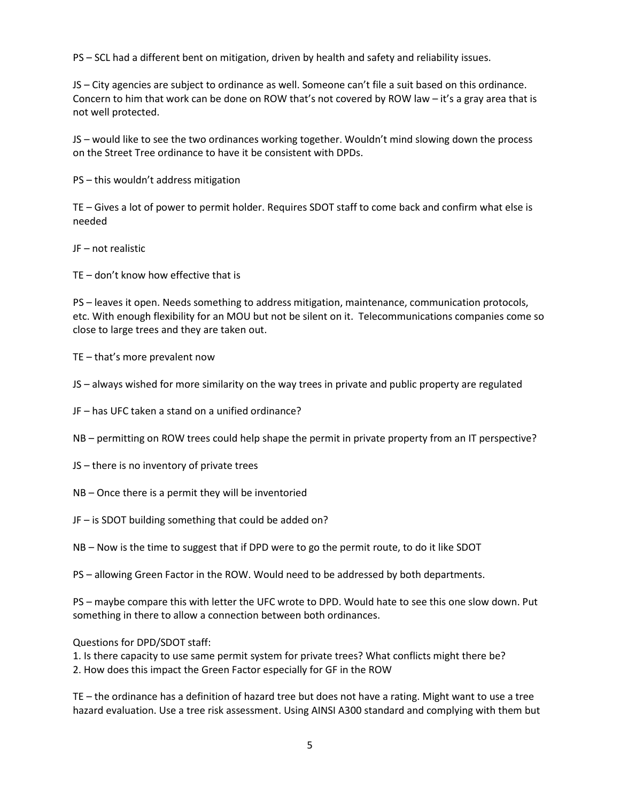PS – SCL had a different bent on mitigation, driven by health and safety and reliability issues.

JS – City agencies are subject to ordinance as well. Someone can't file a suit based on this ordinance. Concern to him that work can be done on ROW that's not covered by ROW law – it's a gray area that is not well protected.

JS – would like to see the two ordinances working together. Wouldn't mind slowing down the process on the Street Tree ordinance to have it be consistent with DPDs.

PS – this wouldn't address mitigation

TE – Gives a lot of power to permit holder. Requires SDOT staff to come back and confirm what else is needed

JF – not realistic

TE – don't know how effective that is

PS – leaves it open. Needs something to address mitigation, maintenance, communication protocols, etc. With enough flexibility for an MOU but not be silent on it. Telecommunications companies come so close to large trees and they are taken out.

TE – that's more prevalent now

JS – always wished for more similarity on the way trees in private and public property are regulated

JF – has UFC taken a stand on a unified ordinance?

NB – permitting on ROW trees could help shape the permit in private property from an IT perspective?

- JS there is no inventory of private trees
- NB Once there is a permit they will be inventoried
- JF is SDOT building something that could be added on?
- NB Now is the time to suggest that if DPD were to go the permit route, to do it like SDOT

PS – allowing Green Factor in the ROW. Would need to be addressed by both departments.

PS – maybe compare this with letter the UFC wrote to DPD. Would hate to see this one slow down. Put something in there to allow a connection between both ordinances.

Questions for DPD/SDOT staff:

1. Is there capacity to use same permit system for private trees? What conflicts might there be? 2. How does this impact the Green Factor especially for GF in the ROW

TE – the ordinance has a definition of hazard tree but does not have a rating. Might want to use a tree hazard evaluation. Use a tree risk assessment. Using AINSI A300 standard and complying with them but